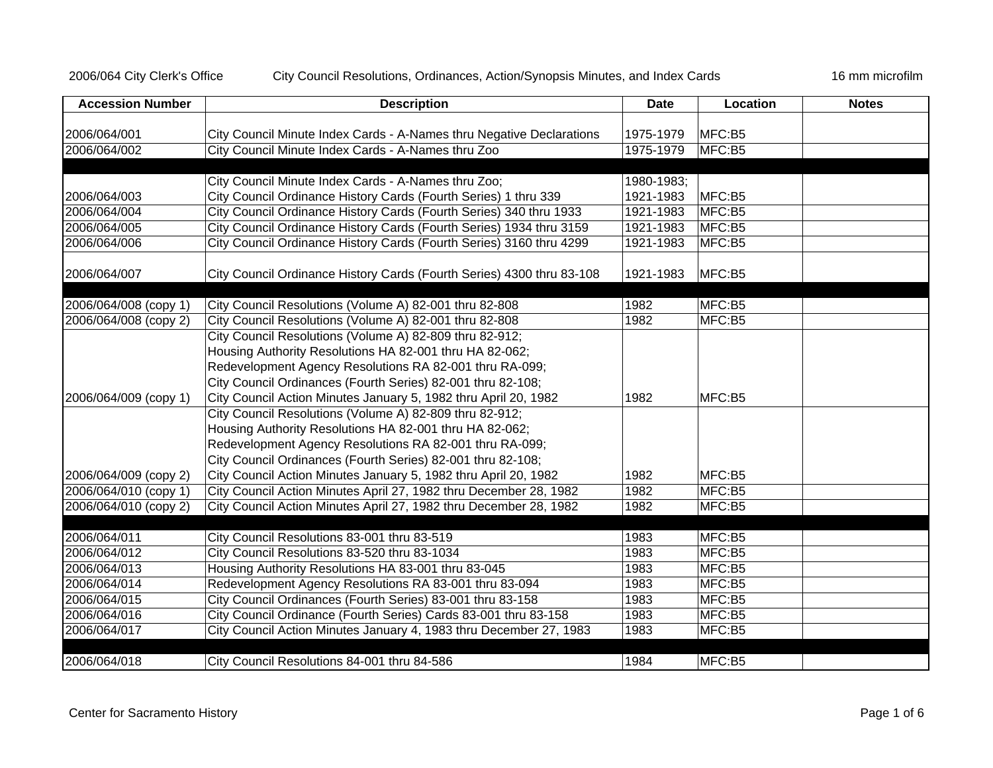## 2006/064 City Clerk's Office City Council Resolutions, Ordinances, Action/Synopsis Minutes, and Index Cards 16 mm microfilm

| <b>Accession Number</b> | <b>Description</b>                                                    | <b>Date</b> | Location | <b>Notes</b> |
|-------------------------|-----------------------------------------------------------------------|-------------|----------|--------------|
|                         |                                                                       |             |          |              |
| 2006/064/001            | City Council Minute Index Cards - A-Names thru Negative Declarations  | 1975-1979   | MFC:B5   |              |
| 2006/064/002            | City Council Minute Index Cards - A-Names thru Zoo                    | 1975-1979   | MFC:B5   |              |
|                         | City Council Minute Index Cards - A-Names thru Zoo;                   | 1980-1983;  |          |              |
| 2006/064/003            | City Council Ordinance History Cards (Fourth Series) 1 thru 339       | 1921-1983   | MFC:B5   |              |
| 2006/064/004            | City Council Ordinance History Cards (Fourth Series) 340 thru 1933    | 1921-1983   | MFC:B5   |              |
| 2006/064/005            | City Council Ordinance History Cards (Fourth Series) 1934 thru 3159   | 1921-1983   | MFC:B5   |              |
| 2006/064/006            | City Council Ordinance History Cards (Fourth Series) 3160 thru 4299   | 1921-1983   | MFC:B5   |              |
| 2006/064/007            | City Council Ordinance History Cards (Fourth Series) 4300 thru 83-108 | 1921-1983   | MFC:B5   |              |
| 2006/064/008 (copy 1)   | City Council Resolutions (Volume A) 82-001 thru 82-808                | 1982        | MFC:B5   |              |
| 2006/064/008 (copy 2)   | City Council Resolutions (Volume A) 82-001 thru 82-808                | 1982        | MFC:B5   |              |
|                         | City Council Resolutions (Volume A) 82-809 thru 82-912;               |             |          |              |
|                         | Housing Authority Resolutions HA 82-001 thru HA 82-062;               |             |          |              |
|                         | Redevelopment Agency Resolutions RA 82-001 thru RA-099;               |             |          |              |
|                         | City Council Ordinances (Fourth Series) 82-001 thru 82-108;           |             |          |              |
| 2006/064/009 (copy 1)   | City Council Action Minutes January 5, 1982 thru April 20, 1982       | 1982        | MFC:B5   |              |
|                         | City Council Resolutions (Volume A) 82-809 thru 82-912;               |             |          |              |
|                         | Housing Authority Resolutions HA 82-001 thru HA 82-062;               |             |          |              |
|                         | Redevelopment Agency Resolutions RA 82-001 thru RA-099;               |             |          |              |
|                         | City Council Ordinances (Fourth Series) 82-001 thru 82-108;           |             |          |              |
| 2006/064/009 (copy 2)   | City Council Action Minutes January 5, 1982 thru April 20, 1982       | 1982        | MFC:B5   |              |
| 2006/064/010 (copy 1)   | City Council Action Minutes April 27, 1982 thru December 28, 1982     | 1982        | MFC:B5   |              |
| 2006/064/010 (copy 2)   | City Council Action Minutes April 27, 1982 thru December 28, 1982     | 1982        | MFC:B5   |              |
| 2006/064/011            | City Council Resolutions 83-001 thru 83-519                           | 1983        | MFC:B5   |              |
| 2006/064/012            | City Council Resolutions 83-520 thru 83-1034                          | 1983        | MFC:B5   |              |
| 2006/064/013            | Housing Authority Resolutions HA 83-001 thru 83-045                   | 1983        | MFC:B5   |              |
| 2006/064/014            | Redevelopment Agency Resolutions RA 83-001 thru 83-094                | 1983        | MFC:B5   |              |
| 2006/064/015            | City Council Ordinances (Fourth Series) 83-001 thru 83-158            | 1983        | MFC:B5   |              |
| 2006/064/016            | City Council Ordinance (Fourth Series) Cards 83-001 thru 83-158       | 1983        | MFC:B5   |              |
| 2006/064/017            | City Council Action Minutes January 4, 1983 thru December 27, 1983    | 1983        | MFC:B5   |              |
|                         |                                                                       |             |          |              |
| 2006/064/018            | City Council Resolutions 84-001 thru 84-586                           | 1984        | MFC:B5   |              |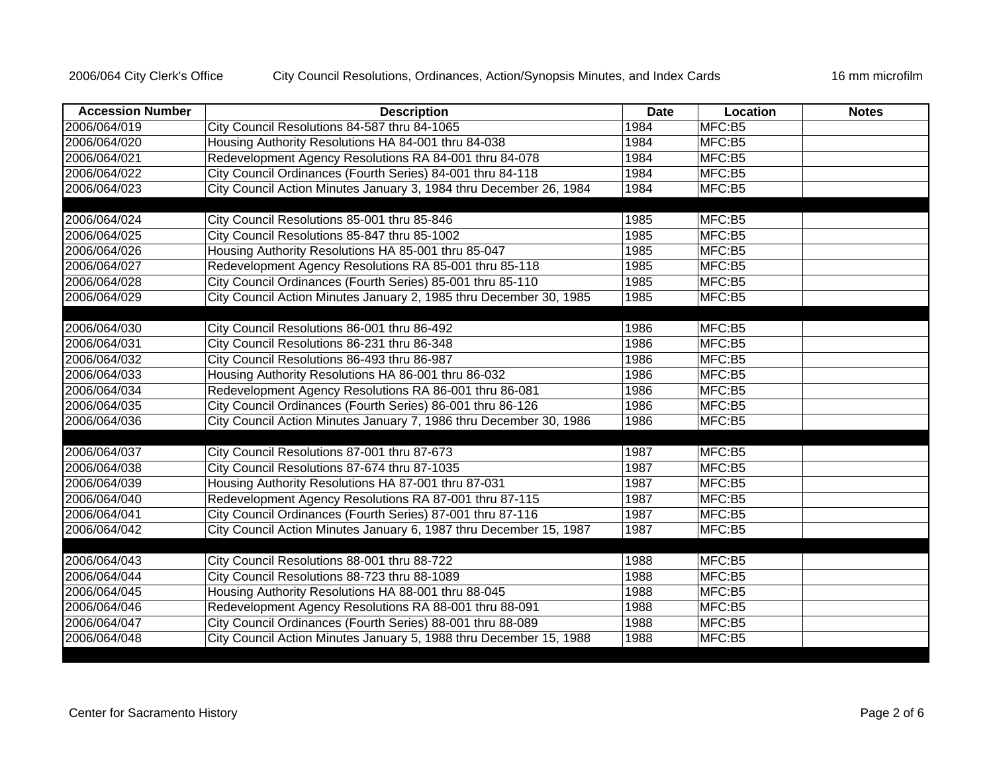| <b>Accession Number</b> | <b>Description</b>                                                 | <b>Date</b> | Location<br><b>Notes</b> |
|-------------------------|--------------------------------------------------------------------|-------------|--------------------------|
| 2006/064/019            | City Council Resolutions 84-587 thru 84-1065                       | 1984        | MFC:B5                   |
| 2006/064/020            | Housing Authority Resolutions HA 84-001 thru 84-038                | 1984        | MFC:B5                   |
| 2006/064/021            | Redevelopment Agency Resolutions RA 84-001 thru 84-078             | 1984        | MFC:B5                   |
| 2006/064/022            | City Council Ordinances (Fourth Series) 84-001 thru 84-118         | 1984        | MFC:B5                   |
| 2006/064/023            | City Council Action Minutes January 3, 1984 thru December 26, 1984 | 1984        | MFC:B5                   |
|                         |                                                                    |             |                          |
| 2006/064/024            | City Council Resolutions 85-001 thru 85-846                        | 1985        | MFC:B5                   |
| 2006/064/025            | City Council Resolutions 85-847 thru 85-1002                       | 1985        | MFC:B5                   |
| 2006/064/026            | Housing Authority Resolutions HA 85-001 thru 85-047                | 1985        | MFC:B5                   |
| 2006/064/027            | Redevelopment Agency Resolutions RA 85-001 thru 85-118             | 1985        | MFC:B5                   |
| 2006/064/028            | City Council Ordinances (Fourth Series) 85-001 thru 85-110         | 1985        | MFC:B5                   |
| 2006/064/029            | City Council Action Minutes January 2, 1985 thru December 30, 1985 | 1985        | MFC:B5                   |
|                         |                                                                    |             |                          |
| 2006/064/030            | City Council Resolutions 86-001 thru 86-492                        | 1986        | MFC:B5                   |
| 2006/064/031            | City Council Resolutions 86-231 thru 86-348                        | 1986        | MFC:B5                   |
| 2006/064/032            | City Council Resolutions 86-493 thru 86-987                        | 1986        | MFC:B5                   |
| 2006/064/033            | Housing Authority Resolutions HA 86-001 thru 86-032                | 1986        | MFC:B5                   |
| 2006/064/034            | Redevelopment Agency Resolutions RA 86-001 thru 86-081             | 1986        | MFC:B5                   |
| 2006/064/035            | City Council Ordinances (Fourth Series) 86-001 thru 86-126         | 1986        | MFC:B5                   |
| 2006/064/036            | City Council Action Minutes January 7, 1986 thru December 30, 1986 | 1986        | MFC:B5                   |
|                         |                                                                    |             |                          |
| 2006/064/037            | City Council Resolutions 87-001 thru 87-673                        | 1987        | MFC:B5                   |
| 2006/064/038            | City Council Resolutions 87-674 thru 87-1035                       | 1987        | MFC:B5                   |
| 2006/064/039            | Housing Authority Resolutions HA 87-001 thru 87-031                | 1987        | MFC:B5                   |
| 2006/064/040            | Redevelopment Agency Resolutions RA 87-001 thru 87-115             | 1987        | MFC:B5                   |
| 2006/064/041            | City Council Ordinances (Fourth Series) 87-001 thru 87-116         | 1987        | MFC:B5                   |
| 2006/064/042            | City Council Action Minutes January 6, 1987 thru December 15, 1987 | 1987        | MFC:B5                   |
|                         |                                                                    |             |                          |
| 2006/064/043            | City Council Resolutions 88-001 thru 88-722                        | 1988        | MFC:B5                   |
| 2006/064/044            | City Council Resolutions 88-723 thru 88-1089                       | 1988        | MFC:B5                   |
| 2006/064/045            | Housing Authority Resolutions HA 88-001 thru 88-045                | 1988        | MFC:B5                   |
| 2006/064/046            | Redevelopment Agency Resolutions RA 88-001 thru 88-091             | 1988        | MFC:B5                   |
| 2006/064/047            | City Council Ordinances (Fourth Series) 88-001 thru 88-089         | 1988        | MFC:B5                   |
| 2006/064/048            | City Council Action Minutes January 5, 1988 thru December 15, 1988 | 1988        | MFC:B5                   |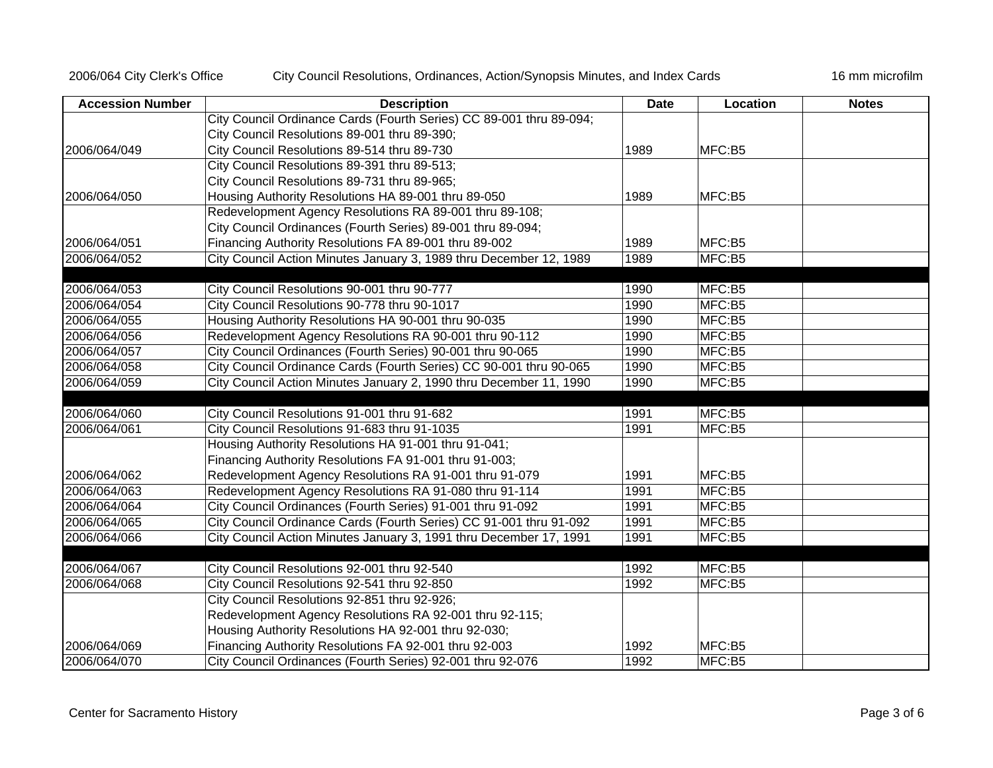2006/064 City Clerk's Office City Council Resolutions, Ordinances, Action/Synopsis Minutes, and Index Cards 16 mm microfilm

| <b>Accession Number</b> | <b>Description</b>                                                  | <b>Date</b> | Location | <b>Notes</b> |
|-------------------------|---------------------------------------------------------------------|-------------|----------|--------------|
|                         | City Council Ordinance Cards (Fourth Series) CC 89-001 thru 89-094; |             |          |              |
|                         | City Council Resolutions 89-001 thru 89-390;                        |             |          |              |
| 2006/064/049            | City Council Resolutions 89-514 thru 89-730                         | 1989        | MFC:B5   |              |
|                         | City Council Resolutions 89-391 thru 89-513;                        |             |          |              |
|                         | City Council Resolutions 89-731 thru 89-965;                        |             |          |              |
| 2006/064/050            | Housing Authority Resolutions HA 89-001 thru 89-050                 | 1989        | MFC:B5   |              |
|                         | Redevelopment Agency Resolutions RA 89-001 thru 89-108;             |             |          |              |
|                         | City Council Ordinances (Fourth Series) 89-001 thru 89-094;         |             |          |              |
| 2006/064/051            | Financing Authority Resolutions FA 89-001 thru 89-002               | 1989        | MFC:B5   |              |
| 2006/064/052            | City Council Action Minutes January 3, 1989 thru December 12, 1989  | 1989        | MFC:B5   |              |
|                         |                                                                     |             |          |              |
| 2006/064/053            | City Council Resolutions 90-001 thru 90-777                         | 1990        | MFC:B5   |              |
| 2006/064/054            | City Council Resolutions 90-778 thru 90-1017                        | 1990        | MFC:B5   |              |
| 2006/064/055            | Housing Authority Resolutions HA 90-001 thru 90-035                 | 1990        | MFC:B5   |              |
| 2006/064/056            | Redevelopment Agency Resolutions RA 90-001 thru 90-112              | 1990        | MFC:B5   |              |
| 2006/064/057            | City Council Ordinances (Fourth Series) 90-001 thru 90-065          | 1990        | MFC:B5   |              |
| 2006/064/058            | City Council Ordinance Cards (Fourth Series) CC 90-001 thru 90-065  | 1990        | MFC:B5   |              |
| 2006/064/059            | City Council Action Minutes January 2, 1990 thru December 11, 1990  | 1990        | MFC:B5   |              |
|                         |                                                                     |             |          |              |
| 2006/064/060            | City Council Resolutions 91-001 thru 91-682                         | 1991        | MFC:B5   |              |
| 2006/064/061            | City Council Resolutions 91-683 thru 91-1035                        | 1991        | MFC:B5   |              |
|                         | Housing Authority Resolutions HA 91-001 thru 91-041;                |             |          |              |
|                         | Financing Authority Resolutions FA 91-001 thru 91-003;              |             |          |              |
| 2006/064/062            | Redevelopment Agency Resolutions RA 91-001 thru 91-079              | 1991        | MFC:B5   |              |
| 2006/064/063            | Redevelopment Agency Resolutions RA 91-080 thru 91-114              | 1991        | MFC:B5   |              |
| 2006/064/064            | City Council Ordinances (Fourth Series) 91-001 thru 91-092          | 1991        | MFC:B5   |              |
| 2006/064/065            | City Council Ordinance Cards (Fourth Series) CC 91-001 thru 91-092  | 1991        | MFC:B5   |              |
| 2006/064/066            | City Council Action Minutes January 3, 1991 thru December 17, 1991  | 1991        | MFC:B5   |              |
| 2006/064/067            | City Council Resolutions 92-001 thru 92-540                         | 1992        | MFC:B5   |              |
| 2006/064/068            | City Council Resolutions 92-541 thru 92-850                         | 1992        | MFC:B5   |              |
|                         | City Council Resolutions 92-851 thru 92-926;                        |             |          |              |
|                         | Redevelopment Agency Resolutions RA 92-001 thru 92-115;             |             |          |              |
|                         | Housing Authority Resolutions HA 92-001 thru 92-030;                |             |          |              |
| 2006/064/069            | Financing Authority Resolutions FA 92-001 thru 92-003               | 1992        | MFC:B5   |              |
| 2006/064/070            | City Council Ordinances (Fourth Series) 92-001 thru 92-076          | 1992        | MFC:B5   |              |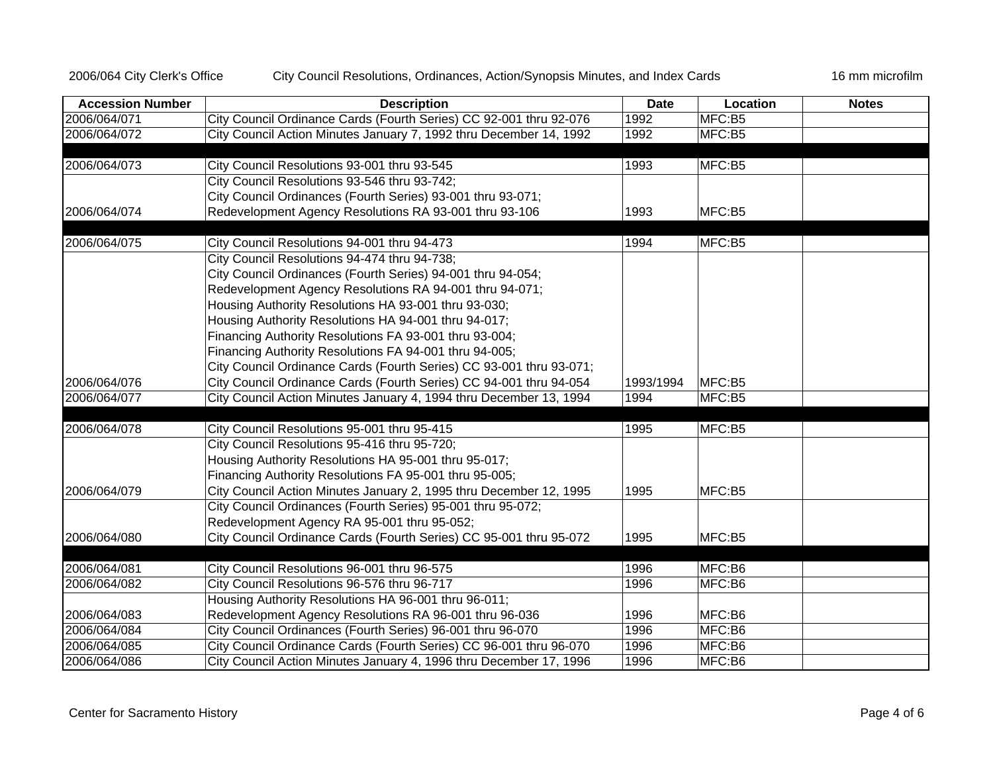2006/064 City Clerk's Office City Council Resolutions, Ordinances, Action/Synopsis Minutes, and Index Cards 16 mm microfilm

| <b>Accession Number</b> | <b>Description</b>                                                  | <b>Date</b> | Location | <b>Notes</b> |
|-------------------------|---------------------------------------------------------------------|-------------|----------|--------------|
| 2006/064/071            | City Council Ordinance Cards (Fourth Series) CC 92-001 thru 92-076  | 1992        | MFC:B5   |              |
| 2006/064/072            | City Council Action Minutes January 7, 1992 thru December 14, 1992  | 1992        | MFC:B5   |              |
|                         |                                                                     |             |          |              |
| 2006/064/073            | City Council Resolutions 93-001 thru 93-545                         | 1993        | MFC:B5   |              |
|                         | City Council Resolutions 93-546 thru 93-742;                        |             |          |              |
|                         | City Council Ordinances (Fourth Series) 93-001 thru 93-071;         |             |          |              |
| 2006/064/074            | Redevelopment Agency Resolutions RA 93-001 thru 93-106              | 1993        | MFC:B5   |              |
|                         |                                                                     |             |          |              |
| 2006/064/075            | City Council Resolutions 94-001 thru 94-473                         | 1994        | MFC:B5   |              |
|                         | City Council Resolutions 94-474 thru 94-738;                        |             |          |              |
|                         | City Council Ordinances (Fourth Series) 94-001 thru 94-054;         |             |          |              |
|                         | Redevelopment Agency Resolutions RA 94-001 thru 94-071;             |             |          |              |
|                         | Housing Authority Resolutions HA 93-001 thru 93-030;                |             |          |              |
|                         | Housing Authority Resolutions HA 94-001 thru 94-017;                |             |          |              |
|                         | Financing Authority Resolutions FA 93-001 thru 93-004;              |             |          |              |
|                         | Financing Authority Resolutions FA 94-001 thru 94-005;              |             |          |              |
|                         | City Council Ordinance Cards (Fourth Series) CC 93-001 thru 93-071; |             |          |              |
| 2006/064/076            | City Council Ordinance Cards (Fourth Series) CC 94-001 thru 94-054  | 1993/1994   | MFC:B5   |              |
| 2006/064/077            | City Council Action Minutes January 4, 1994 thru December 13, 1994  | 1994        | MFC:B5   |              |
|                         |                                                                     |             |          |              |
| 2006/064/078            | City Council Resolutions 95-001 thru 95-415                         | 1995        | MFC:B5   |              |
|                         | City Council Resolutions 95-416 thru 95-720;                        |             |          |              |
|                         | Housing Authority Resolutions HA 95-001 thru 95-017;                |             |          |              |
|                         | Financing Authority Resolutions FA 95-001 thru 95-005;              |             |          |              |
| 2006/064/079            | City Council Action Minutes January 2, 1995 thru December 12, 1995  | 1995        | MFC:B5   |              |
|                         | City Council Ordinances (Fourth Series) 95-001 thru 95-072;         |             |          |              |
|                         | Redevelopment Agency RA 95-001 thru 95-052;                         |             |          |              |
| 2006/064/080            | City Council Ordinance Cards (Fourth Series) CC 95-001 thru 95-072  | 1995        | MFC:B5   |              |
|                         |                                                                     |             |          |              |
| 2006/064/081            | City Council Resolutions 96-001 thru 96-575                         | 1996        | MFC:B6   |              |
| 2006/064/082            | City Council Resolutions 96-576 thru 96-717                         | 1996        | MFC:B6   |              |
|                         | Housing Authority Resolutions HA 96-001 thru 96-011;                |             |          |              |
| 2006/064/083            | Redevelopment Agency Resolutions RA 96-001 thru 96-036              | 1996        | MFC:B6   |              |
| 2006/064/084            | City Council Ordinances (Fourth Series) 96-001 thru 96-070          | 1996        | MFC:B6   |              |
| 2006/064/085            | City Council Ordinance Cards (Fourth Series) CC 96-001 thru 96-070  | 1996        | MFC:B6   |              |
| 2006/064/086            | City Council Action Minutes January 4, 1996 thru December 17, 1996  | 1996        | MFC:B6   |              |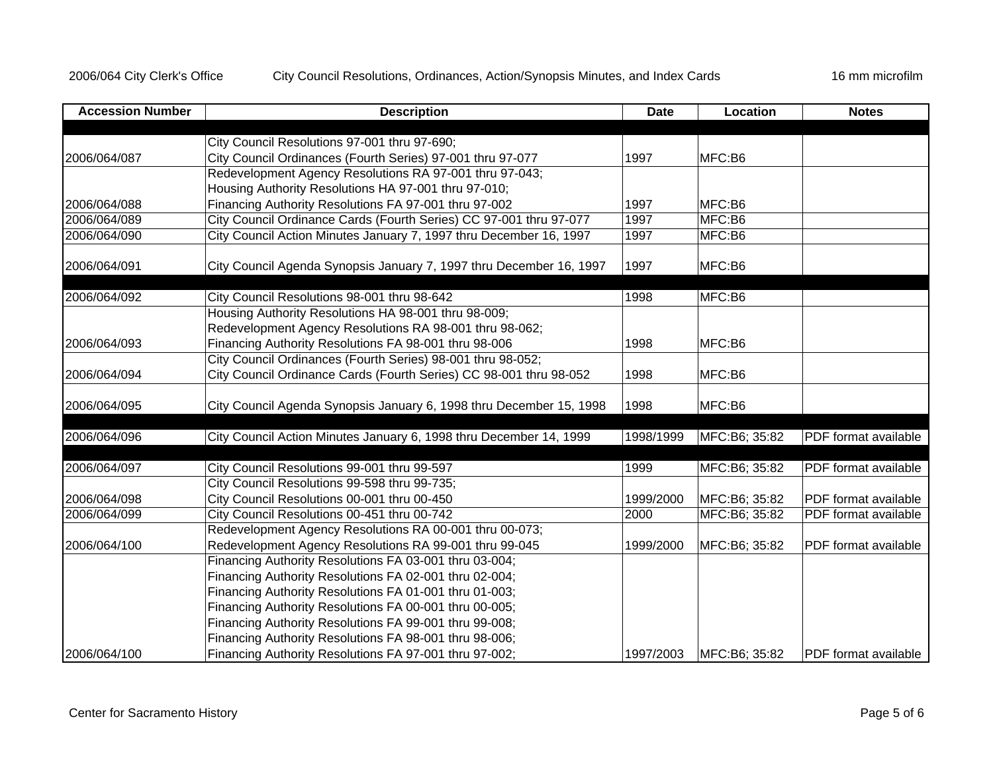| <b>Accession Number</b> | <b>Description</b>                                                  | <b>Date</b> | <b>Location</b> | <b>Notes</b>                |
|-------------------------|---------------------------------------------------------------------|-------------|-----------------|-----------------------------|
|                         |                                                                     |             |                 |                             |
|                         | City Council Resolutions 97-001 thru 97-690;                        |             |                 |                             |
| 2006/064/087            | City Council Ordinances (Fourth Series) 97-001 thru 97-077          | 1997        | MFC:B6          |                             |
|                         | Redevelopment Agency Resolutions RA 97-001 thru 97-043;             |             |                 |                             |
|                         | Housing Authority Resolutions HA 97-001 thru 97-010;                |             |                 |                             |
| 2006/064/088            | Financing Authority Resolutions FA 97-001 thru 97-002               | 1997        | MFC:B6          |                             |
| 2006/064/089            | City Council Ordinance Cards (Fourth Series) CC 97-001 thru 97-077  | 1997        | MFC:B6          |                             |
| 2006/064/090            | City Council Action Minutes January 7, 1997 thru December 16, 1997  | 1997        | MFC:B6          |                             |
| 2006/064/091            | City Council Agenda Synopsis January 7, 1997 thru December 16, 1997 | 1997        | MFC:B6          |                             |
| 2006/064/092            | City Council Resolutions 98-001 thru 98-642                         | 1998        | MFC:B6          |                             |
|                         | Housing Authority Resolutions HA 98-001 thru 98-009;                |             |                 |                             |
|                         | Redevelopment Agency Resolutions RA 98-001 thru 98-062;             |             |                 |                             |
| 2006/064/093            | Financing Authority Resolutions FA 98-001 thru 98-006               | 1998        | MFC:B6          |                             |
|                         | City Council Ordinances (Fourth Series) 98-001 thru 98-052;         |             |                 |                             |
| 2006/064/094            | City Council Ordinance Cards (Fourth Series) CC 98-001 thru 98-052  | 1998        | MFC:B6          |                             |
|                         |                                                                     |             |                 |                             |
| 2006/064/095            | City Council Agenda Synopsis January 6, 1998 thru December 15, 1998 | 1998        | MFC:B6          |                             |
|                         |                                                                     |             |                 |                             |
| 2006/064/096            | City Council Action Minutes January 6, 1998 thru December 14, 1999  | 1998/1999   | MFC:B6; 35:82   | PDF format available        |
| 2006/064/097            | City Council Resolutions 99-001 thru 99-597                         | 1999        | MFC:B6; 35:82   | <b>PDF</b> format available |
|                         | City Council Resolutions 99-598 thru 99-735;                        |             |                 |                             |
| 2006/064/098            | City Council Resolutions 00-001 thru 00-450                         | 1999/2000   | MFC:B6; 35:82   | <b>PDF</b> format available |
| 2006/064/099            | City Council Resolutions 00-451 thru 00-742                         | 2000        | MFC:B6; 35:82   | PDF format available        |
|                         | Redevelopment Agency Resolutions RA 00-001 thru 00-073;             |             |                 |                             |
| 2006/064/100            | Redevelopment Agency Resolutions RA 99-001 thru 99-045              | 1999/2000   | MFC:B6; 35:82   | PDF format available        |
|                         | Financing Authority Resolutions FA 03-001 thru 03-004;              |             |                 |                             |
|                         | Financing Authority Resolutions FA 02-001 thru 02-004;              |             |                 |                             |
|                         | Financing Authority Resolutions FA 01-001 thru 01-003;              |             |                 |                             |
|                         | Financing Authority Resolutions FA 00-001 thru 00-005;              |             |                 |                             |
|                         | Financing Authority Resolutions FA 99-001 thru 99-008;              |             |                 |                             |
|                         | Financing Authority Resolutions FA 98-001 thru 98-006;              |             |                 |                             |
| 2006/064/100            | Financing Authority Resolutions FA 97-001 thru 97-002;              | 1997/2003   | MFC:B6; 35:82   | PDF format available        |